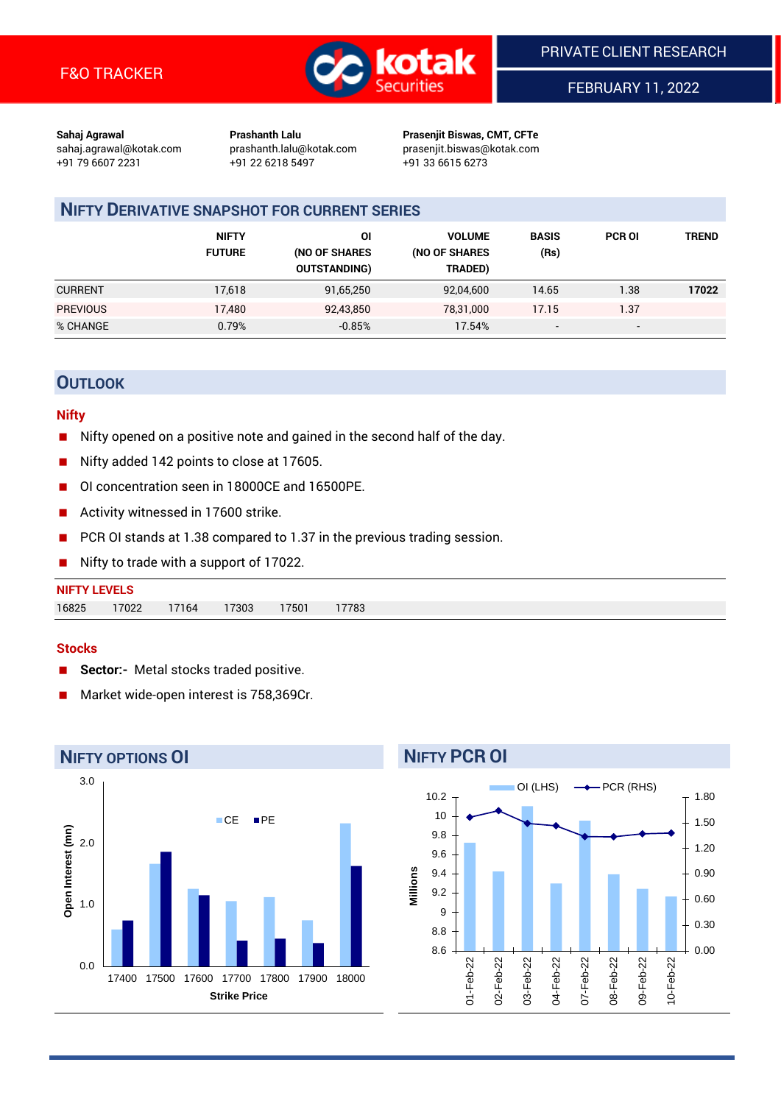

FEBRUARY 11, 2022

**Sahaj Agrawal Prashanth Lalu Prasenjit Biswas, CMT, CFTe** +91 79 6607 2231 +91 22 6218 5497 +91 33 6615 6273

sahaj.agrawal@kotak.com [prashanth.lalu@kotak.com](mailto:prashanth.lalu@kotak.com) prasenjit.biswas@kotak.com

## **NIFTY DERIVATIVE SNAPSHOT FOR CURRENT SERIES**

|                 | <b>NIFTY</b><br><b>FUTURE</b> | ΟI<br>(NO OF SHARES<br><b>OUTSTANDING)</b> | <b>VOLUME</b><br>(NO OF SHARES<br>TRADED) | <b>BASIS</b><br>(Rs)     | <b>PCR OI</b>            | TREND |
|-----------------|-------------------------------|--------------------------------------------|-------------------------------------------|--------------------------|--------------------------|-------|
| <b>CURRENT</b>  | 17,618                        | 91,65,250                                  | 92,04,600                                 | 14.65                    | 1.38                     | 17022 |
| <b>PREVIOUS</b> | 17,480                        | 92,43,850                                  | 78.31.000                                 | 17.15                    | 1.37                     |       |
| % CHANGE        | 0.79%                         | $-0.85%$                                   | 17.54%                                    | $\overline{\phantom{a}}$ | $\overline{\phantom{a}}$ |       |

## **OUTLOOK**

#### **Nifty**

- Nifty opened on a positive note and gained in the second half of the day.
- Nifty added 142 points to close at 17605.
- OI concentration seen in 18000CE and 16500PE.
- Activity witnessed in 17600 strike.
- PCR OI stands at 1.38 compared to 1.37 in the previous trading session.
- Nifty to trade with a support of 17022.

| <b>NIFTY LEVELS</b> |       |       |       |      |       |
|---------------------|-------|-------|-------|------|-------|
| 16825               | 17022 | 17164 | 17303 | 7501 | 17783 |

#### **Stocks**

- **Sector:-** Metal stocks traded positive.
- Market wide-open interest is 758,369Cr.



# **NIFTY PCR OI**

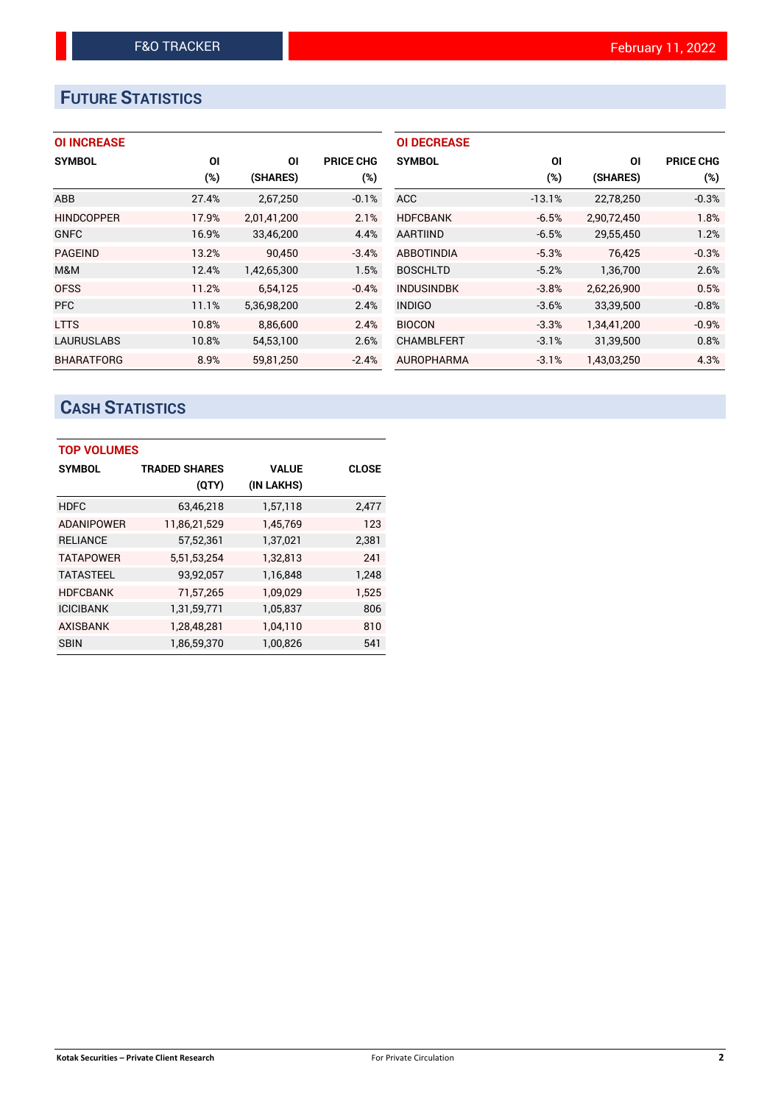# **FUTURE STATISTICS**

## **OI INCREASE**

| <b>SYMBOL</b>     | ΟI    | ΟI          | <b>PRICE CHG</b> |
|-------------------|-------|-------------|------------------|
|                   | (%)   | (SHARES)    | (%)              |
| ABB               | 27.4% | 2,67,250    | $-0.1%$          |
| <b>HINDCOPPER</b> | 17.9% | 2,01,41,200 | 2.1%             |
| <b>GNFC</b>       | 16.9% | 33,46,200   | 4.4%             |
| <b>PAGEIND</b>    | 13.2% | 90,450      | $-3.4%$          |
| M&M               | 12.4% | 1,42,65,300 | 1.5%             |
| <b>OFSS</b>       | 11.2% | 6.54.125    | $-0.4%$          |
| <b>PFC</b>        | 11.1% | 5,36,98,200 | 2.4%             |
| <b>LTTS</b>       | 10.8% | 8,86,600    | 2.4%             |
| <b>LAURUSLABS</b> | 10.8% | 54,53,100   | 2.6%             |
| <b>BHARATFORG</b> | 8.9%  | 59.81.250   | $-2.4%$          |

| <b>OI DECREASE</b> |          |             |                  |
|--------------------|----------|-------------|------------------|
| <b>SYMBOL</b>      | ΟI       | ΟI          | <b>PRICE CHG</b> |
|                    | (%)      | (SHARES)    | (%)              |
| <b>ACC</b>         | $-13.1%$ | 22,78,250   | $-0.3%$          |
| <b>HDFCBANK</b>    | $-6.5%$  | 2,90,72,450 | 1.8%             |
| <b>AARTIIND</b>    | $-6.5%$  | 29,55,450   | 1.2%             |
| <b>ABBOTINDIA</b>  | $-5.3%$  | 76.425      | $-0.3%$          |
| <b>BOSCHLTD</b>    | $-5.2%$  | 1,36,700    | 2.6%             |
| <b>INDUSINDBK</b>  | $-3.8%$  | 2,62,26,900 | 0.5%             |
| <b>INDIGO</b>      | $-3.6%$  | 33,39,500   | $-0.8%$          |
| <b>BIOCON</b>      | $-3.3%$  | 1,34,41,200 | $-0.9%$          |
| <b>CHAMBLFERT</b>  | $-3.1%$  | 31,39,500   | 0.8%             |
| <b>AUROPHARMA</b>  | $-3.1%$  | 1.43.03.250 | 4.3%             |

# **CASH STATISTICS**

| <b>TOP VOLUMES</b> |                      |              |              |  |  |  |  |  |
|--------------------|----------------------|--------------|--------------|--|--|--|--|--|
| <b>SYMBOL</b>      | <b>TRADED SHARES</b> | <b>VALUE</b> | <b>CLOSE</b> |  |  |  |  |  |
|                    | (QTY)                | (IN LAKHS)   |              |  |  |  |  |  |
| <b>HDFC</b>        | 63,46,218            | 1,57,118     | 2,477        |  |  |  |  |  |
| <b>ADANIPOWER</b>  | 11,86,21,529         | 1,45,769     | 123          |  |  |  |  |  |
| <b>RELIANCE</b>    | 57,52,361            | 1,37,021     | 2,381        |  |  |  |  |  |
| <b>TATAPOWER</b>   | 5,51,53,254          | 1,32,813     | 241          |  |  |  |  |  |
| <b>TATASTEEL</b>   | 93,92,057            | 1,16,848     | 1,248        |  |  |  |  |  |
| <b>HDFCBANK</b>    | 71,57,265            | 1,09,029     | 1,525        |  |  |  |  |  |
| <b>ICICIBANK</b>   | 1,31,59,771          | 1,05,837     | 806          |  |  |  |  |  |
| <b>AXISBANK</b>    | 1,28,48,281          | 1,04,110     | 810          |  |  |  |  |  |
| <b>SBIN</b>        | 1,86,59,370          | 1,00,826     | 541          |  |  |  |  |  |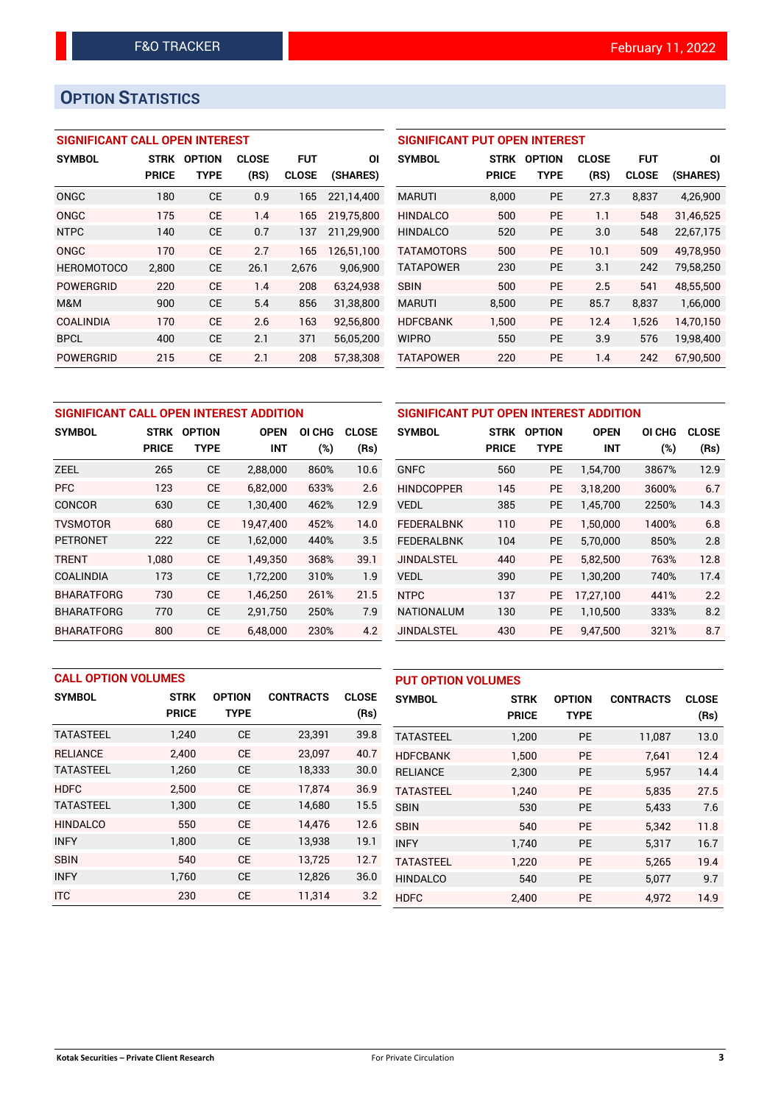# **OPTION STATISTICS**

## **SIGNIFICANT CALL OPEN INTEREST**

| <b>SYMBOL</b>     | <b>STRK</b><br><b>PRICE</b> | <b>OPTION</b><br>TYPE | <b>CLOSE</b><br>(RS) | <b>FUT</b><br><b>CLOSE</b> | ΟI<br>(SHARES) |
|-------------------|-----------------------------|-----------------------|----------------------|----------------------------|----------------|
|                   |                             |                       |                      |                            |                |
| ONGC              | 180                         | СE                    | 0.9                  | 165                        | 221,14,400     |
| ONGC              | 175                         | CF                    | 1.4                  | 165                        | 219,75,800     |
| <b>NTPC</b>       | 140                         | СE                    | 0.7                  | 137                        | 211,29,900     |
| ONGC              | 170                         | CF                    | 2.7                  | 165                        | 126,51,100     |
| <b>HEROMOTOCO</b> | 2,800                       | СE                    | 26.1                 | 2,676                      | 9,06,900       |
| <b>POWERGRID</b>  | 220                         | CF                    | 1.4                  | 208                        | 63,24,938      |
| M&M               | 900                         | CE                    | 5.4                  | 856                        | 31,38,800      |
| <b>COALINDIA</b>  | 170                         | CF                    | 2.6                  | 163                        | 92,56,800      |
| <b>BPCL</b>       | 400                         | CE                    | 2.1                  | 371                        | 56,05,200      |
| <b>POWERGRID</b>  | 215                         | CF                    | 2.1                  | 208                        | 57.38.308      |

### **SIGNIFICANT PUT OPEN INTEREST**

| <b>SYMBOL</b>     | <b>STRK</b><br><b>PRICE</b> | <b>OPTION</b><br>TYPE | <b>CLOSE</b><br>(RS) | <b>FUT</b><br><b>CLOSE</b> | ΟI<br>(SHARES) |
|-------------------|-----------------------------|-----------------------|----------------------|----------------------------|----------------|
| <b>MARUTI</b>     | 8.000                       | <b>PE</b>             | 27.3                 | 8,837                      | 4,26,900       |
| <b>HINDALCO</b>   | 500                         | PF                    | 1.1                  | 548                        | 31.46.525      |
| <b>HINDALCO</b>   | 520                         | PF                    | 3.0                  | 548                        | 22,67,175      |
| <b>TATAMOTORS</b> | 500                         | PF                    | 10.1                 | 509                        | 49.78.950      |
| <b>TATAPOWER</b>  | 230                         | PF                    | 3.1                  | 242                        | 79,58,250      |
| <b>SBIN</b>       | 500                         | PF                    | 2.5                  | 541                        | 48,55,500      |
| <b>MARUTI</b>     | 8,500                       | PF                    | 85.7                 | 8,837                      | 1,66,000       |
| <b>HDFCBANK</b>   | 1.500                       | PE                    | 12.4                 | 1.526                      | 14.70.150      |
| <b>WIPRO</b>      | 550                         | <b>PE</b>             | 3.9                  | 576                        | 19,98,400      |
| <b>TATAPOWER</b>  | 220                         | <b>PE</b>             | 1.4                  | 242                        | 67,90,500      |

| SIGNIFICANT CALL OPEN INTEREST ADDITION |              |               |             |        |              | SIGNIFICANT PUT OPEN INTEREST ADDITION |              |               |             |        |              |
|-----------------------------------------|--------------|---------------|-------------|--------|--------------|----------------------------------------|--------------|---------------|-------------|--------|--------------|
| <b>SYMBOL</b>                           | <b>STRK</b>  | <b>OPTION</b> | <b>OPEN</b> | OI CHG | <b>CLOSE</b> | <b>SYMBOL</b>                          | <b>STRK</b>  | <b>OPTION</b> | <b>OPEN</b> | OI CHG | <b>CLOSE</b> |
|                                         | <b>PRICE</b> | <b>TYPE</b>   | <b>INT</b>  | (%)    | (Rs)         |                                        | <b>PRICE</b> | <b>TYPE</b>   | <b>INT</b>  | (%)    | (Rs)         |
| <b>ZEEL</b>                             | 265          | <b>CE</b>     | 2,88,000    | 860%   | 10.6         | <b>GNFC</b>                            | 560          | <b>PE</b>     | 1,54,700    | 3867%  | 12.9         |
| <b>PFC</b>                              | 123          | <b>CE</b>     | 6.82.000    | 633%   | 2.6          | <b>HINDCOPPER</b>                      | 145          | <b>PE</b>     | 3.18.200    | 3600%  | 6.7          |
| <b>CONCOR</b>                           | 630          | <b>CE</b>     | 1,30,400    | 462%   | 12.9         | <b>VEDL</b>                            | 385          | <b>PE</b>     | 1,45,700    | 2250%  | 14.3         |
| <b>TVSMOTOR</b>                         | 680          | <b>CE</b>     | 19.47.400   | 452%   | 14.0         | <b>FEDERALBNK</b>                      | 110          | <b>PE</b>     | 1.50.000    | 1400%  | 6.8          |
| <b>PETRONET</b>                         | 222          | <b>CE</b>     | 1,62,000    | 440%   | 3.5          | <b>FEDERALBNK</b>                      | 104          | PE            | 5,70,000    | 850%   | 2.8          |
| <b>TRENT</b>                            | 1,080        | <b>CE</b>     | 1,49,350    | 368%   | 39.1         | <b>JINDALSTEL</b>                      | 440          | <b>PE</b>     | 5,82,500    | 763%   | 12.8         |
| <b>COALINDIA</b>                        | 173          | <b>CE</b>     | 1,72,200    | 310%   | 1.9          | <b>VEDL</b>                            | 390          | PE            | 1,30,200    | 740%   | 17.4         |
| <b>BHARATFORG</b>                       | 730          | <b>CE</b>     | 1.46.250    | 261%   | 21.5         | <b>NTPC</b>                            | 137          | <b>PE</b>     | 17,27,100   | 441%   | 2.2          |
| <b>BHARATFORG</b>                       | 770          | <b>CE</b>     | 2,91,750    | 250%   | 7.9          | <b>NATIONALUM</b>                      | 130          | PE            | 1,10,500    | 333%   | 8.2          |
| <b>BHARATFORG</b>                       | 800          | <b>CE</b>     | 6.48.000    | 230%   | 4.2          | <b>JINDALSTEL</b>                      | 430          | PE.           | 9,47,500    | 321%   | 8.7          |

| <b>CALL OPTION VOLUMES</b> |              |               |                  | <b>PUT OPTION VOLUMES</b> |                  |              |               |                  |              |
|----------------------------|--------------|---------------|------------------|---------------------------|------------------|--------------|---------------|------------------|--------------|
| <b>SYMBOL</b>              | <b>STRK</b>  | <b>OPTION</b> | <b>CONTRACTS</b> | <b>CLOSE</b>              | <b>SYMBOL</b>    | <b>STRK</b>  | <b>OPTION</b> | <b>CONTRACTS</b> | <b>CLOSE</b> |
|                            | <b>PRICE</b> | <b>TYPE</b>   |                  | (Rs)                      |                  | <b>PRICE</b> | <b>TYPE</b>   |                  | (Rs)         |
| <b>TATASTEEL</b>           | 1,240        | <b>CE</b>     | 23,391           | 39.8                      | <b>TATASTEEL</b> | 1,200        | PE            | 11,087           | 13.0         |
| <b>RELIANCE</b>            | 2.400        | <b>CE</b>     | 23,097           | 40.7                      | <b>HDFCBANK</b>  | 1.500        | <b>PE</b>     | 7.641            | 12.4         |
| <b>TATASTEEL</b>           | 1,260        | <b>CE</b>     | 18,333           | 30.0                      | <b>RELIANCE</b>  | 2,300        | <b>PE</b>     | 5,957            | 14.4         |
| <b>HDFC</b>                | 2.500        | <b>CE</b>     | 17,874           | 36.9                      | <b>TATASTEEL</b> | 1.240        | <b>PE</b>     | 5.835            | 27.5         |
| <b>TATASTEEL</b>           | 1,300        | <b>CE</b>     | 14,680           | 15.5                      | <b>SBIN</b>      | 530          | <b>PE</b>     | 5,433            | 7.6          |
| <b>HINDALCO</b>            | 550          | <b>CE</b>     | 14.476           | 12.6                      | <b>SBIN</b>      | 540          | <b>PE</b>     | 5.342            | 11.8         |
| <b>INFY</b>                | 1,800        | <b>CE</b>     | 13,938           | 19.1                      | <b>INFY</b>      | 1,740        | <b>PE</b>     | 5,317            | 16.7         |
| <b>SBIN</b>                | 540          | <b>CE</b>     | 13.725           | 12.7                      | <b>TATASTEEL</b> | 1,220        | <b>PE</b>     | 5.265            | 19.4         |
| <b>INFY</b>                | 1,760        | <b>CE</b>     | 12,826           | 36.0                      | <b>HINDALCO</b>  | 540          | <b>PE</b>     | 5,077            | 9.7          |
| <b>ITC</b>                 | 230          | <b>CE</b>     | 11,314           | 3.2                       | <b>HDFC</b>      | 2.400        | <b>PE</b>     | 4.972            | 14.9         |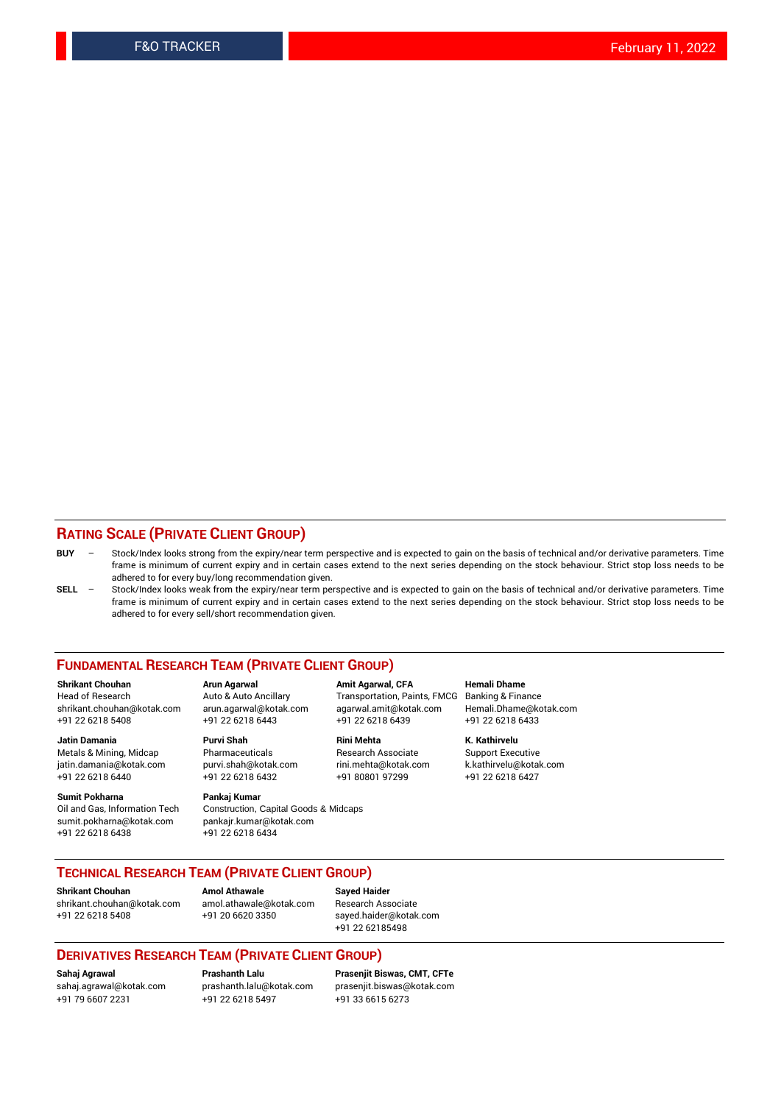#### **RATING SCALE (PRIVATE CLIENT GROUP)**

- **BUY**  Stock/Index looks strong from the expiry/near term perspective and is expected to gain on the basis of technical and/or derivative parameters. Time frame is minimum of current expiry and in certain cases extend to the next series depending on the stock behaviour. Strict stop loss needs to be adhered to for every buy/long recommendation given.
- **SELL** Stock/Index looks weak from the expiry/near term perspective and is expected to gain on the basis of technical and/or derivative parameters. Time frame is minimum of current expiry and in certain cases extend to the next series depending on the stock behaviour. Strict stop loss needs to be adhered to for every sell/short recommendation given.

#### **FUNDAMENTAL RESEARCH TEAM (PRIVATE CLIENT GROUP)**

**Shrikant Chouhan Arun Agarwal Amit Agarwal, CFA Hemali Dhame** shrikant.chouhan@kotak.com arun.agarwal@kotak.com agarwal.amit@kotak.com Hemali.Dhame@kotak.com +91 22 6218 5408 +91 22 6218 6443 +91 22 6218 6439 +91 22 6218 6433

Metals & Mining, Midcap Pharmaceuticals Pharmaceuticals Research Associate Support Executive<br>
iatin.damania@kotak.com purvi.shah@kotak.com rini.mehta@kotak.com k.kathirvelu@kotak.com jatin.damania@kotak.com

**Sumit Pokharna** Pankaj Kumar<br>Oil and Gas, Information Tech Construction, sumit.pokharna@kotak.com pankajr.kumar@kotak.com +91 22 6218 6438 +91 22 6218 6434

Construction, Capital Goods & Midcaps

Transportation, Paints, FMCG

**Jatin Damania Purvi Shah Rini Mehta K. Kathirvelu** +91 22 6218 6440 +91 22 6218 6432 +91 80801 97299 +91 22 6218 6427

#### **TECHNICAL RESEARCH TEAM (PRIVATE CLIENT GROUP)**

**Shrikant Chouhan Amol Athawale Sayed Haider** [shrikant.chouhan@kotak.com](mailto:shrikant.chouhan@kotak.com) [amol.athawale@kotak.com](mailto:amol.athawale@kotak.com) Research Associate +91 22 6218 5408 +91 20 6620 3350 [sayed.haider@kotak.com](mailto:sayed.haider@kotak.com)

+91 22 62185498

#### **DERIVATIVES RESEARCH TEAM (PRIVATE CLIENT GROUP)**

+91 79 6607 2231 +91 22 6218 5497 +91 33 6615 6273

**Sahaj Agrawal Prashanth Lalu Prasenjit Biswas, CMT, CFTe** [prasenjit.biswas@kotak.com](mailto:prasenjit.biswas@kotak.com)